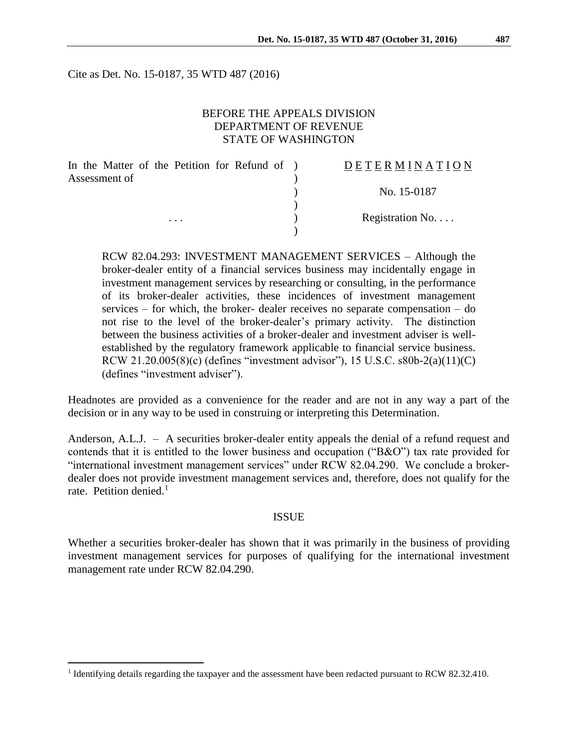Cite as Det. No. 15-0187, 35 WTD 487 (2016)

### BEFORE THE APPEALS DIVISION DEPARTMENT OF REVENUE STATE OF WASHINGTON

| In the Matter of the Petition for Refund of ) | DETERMINATION             |
|-----------------------------------------------|---------------------------|
| Assessment of                                 |                           |
|                                               | No. 15-0187               |
|                                               |                           |
| $\cdots$                                      | Registration $No. \ldots$ |
|                                               |                           |

RCW 82.04.293: INVESTMENT MANAGEMENT SERVICES – Although the broker-dealer entity of a financial services business may incidentally engage in investment management services by researching or consulting, in the performance of its broker-dealer activities, these incidences of investment management services – for which, the broker- dealer receives no separate compensation – do not rise to the level of the broker-dealer's primary activity. The distinction between the business activities of a broker-dealer and investment adviser is wellestablished by the regulatory framework applicable to financial service business. RCW 21.20.005(8)(c) (defines "investment advisor"), 15 U.S.C. s80b-2(a)(11)(C) (defines "investment adviser").

Headnotes are provided as a convenience for the reader and are not in any way a part of the decision or in any way to be used in construing or interpreting this Determination.

Anderson, A.L.J. – A securities broker-dealer entity appeals the denial of a refund request and contends that it is entitled to the lower business and occupation ("B&O") tax rate provided for "international investment management services" under RCW 82.04.290. We conclude a brokerdealer does not provide investment management services and, therefore, does not qualify for the rate. Petition denied.<sup>1</sup>

#### ISSUE

Whether a securities broker-dealer has shown that it was primarily in the business of providing investment management services for purposes of qualifying for the international investment management rate under RCW 82.04.290.

 $\overline{a}$ 

<sup>&</sup>lt;sup>1</sup> Identifying details regarding the taxpayer and the assessment have been redacted pursuant to RCW 82.32.410.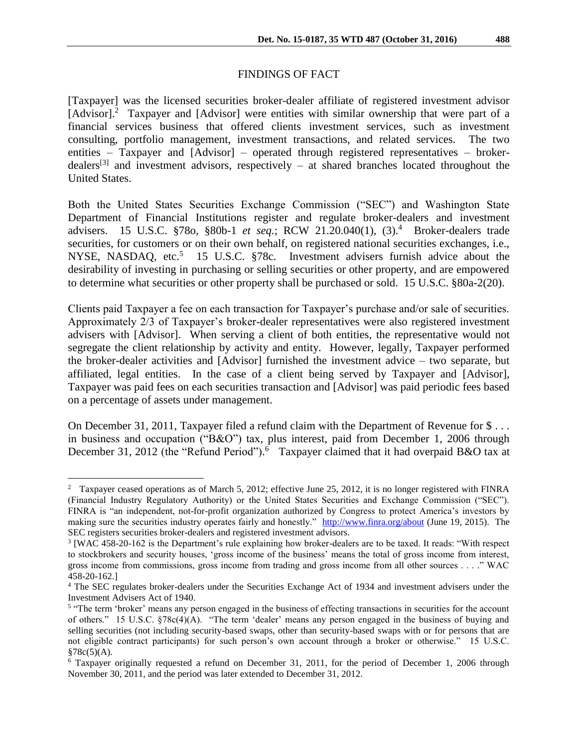# FINDINGS OF FACT

[Taxpayer] was the licensed securities broker-dealer affiliate of registered investment advisor [Advisor].<sup>2</sup> Taxpayer and [Advisor] were entities with similar ownership that were part of a financial services business that offered clients investment services, such as investment consulting, portfolio management, investment transactions, and related services. The two entities – Taxpayer and [Advisor] – operated through registered representatives – brokerdealers<sup>[3]</sup> and investment advisors, respectively  $-$  at shared branches located throughout the United States.

Both the United States Securities Exchange Commission ("SEC") and Washington State Department of Financial Institutions register and regulate broker-dealers and investment advisers. 15 U.S.C. §78o, §80b-1 *et seq.*; RCW 21.20.040(1), (3).<sup>4</sup> Broker-dealers trade securities, for customers or on their own behalf, on registered national securities exchanges, i.e., NYSE, NASDAQ, etc.<sup>5</sup> 15 U.S.C. §78c. Investment advisers furnish advice about the desirability of investing in purchasing or selling securities or other property, and are empowered to determine what securities or other property shall be purchased or sold. 15 U.S.C. §80a-2(20).

Clients paid Taxpayer a fee on each transaction for Taxpayer's purchase and/or sale of securities. Approximately 2/3 of Taxpayer's broker-dealer representatives were also registered investment advisers with [Advisor]. When serving a client of both entities, the representative would not segregate the client relationship by activity and entity. However, legally, Taxpayer performed the broker-dealer activities and [Advisor] furnished the investment advice – two separate, but affiliated, legal entities. In the case of a client being served by Taxpayer and [Advisor], Taxpayer was paid fees on each securities transaction and [Advisor] was paid periodic fees based on a percentage of assets under management.

On December 31, 2011, Taxpayer filed a refund claim with the Department of Revenue for \$ . . . in business and occupation ("B&O") tax, plus interest, paid from December 1, 2006 through December 31, 2012 (the "Refund Period").<sup>6</sup> Taxpayer claimed that it had overpaid B&O tax at

 $\overline{a}$ <sup>2</sup> Taxpayer ceased operations as of March 5, 2012; effective June 25, 2012, it is no longer registered with FINRA (Financial Industry Regulatory Authority) or the United States Securities and Exchange Commission ("SEC"). FINRA is "an independent, not-for-profit organization authorized by Congress to protect America's investors by making sure the securities industry operates fairly and honestly." <http://www.finra.org/about> (June 19, 2015). The SEC registers securities broker-dealers and registered investment advisors.

<sup>3</sup> [WAC 458-20-162 is the Department's rule explaining how broker-dealers are to be taxed. It reads: "With respect to stockbrokers and security houses, 'gross income of the business' means the total of gross income from interest, gross income from commissions, gross income from trading and gross income from all other sources . . . ." WAC 458-20-162.]

<sup>4</sup> The SEC regulates broker-dealers under the Securities Exchange Act of 1934 and investment advisers under the Investment Advisers Act of 1940.

<sup>&</sup>lt;sup>5</sup> "The term 'broker' means any person engaged in the business of effecting transactions in securities for the account of others." 15 U.S.C.  $$78c(4)(A)$ . "The term 'dealer' means any person engaged in the business of buying and selling securities (not including security-based swaps, other than security-based swaps with or for persons that are not eligible contract participants) for such person's own account through a broker or otherwise." 15 U.S.C.  $§78c(5)(A).$ 

<sup>6</sup> Taxpayer originally requested a refund on December 31, 2011, for the period of December 1, 2006 through November 30, 2011, and the period was later extended to December 31, 2012.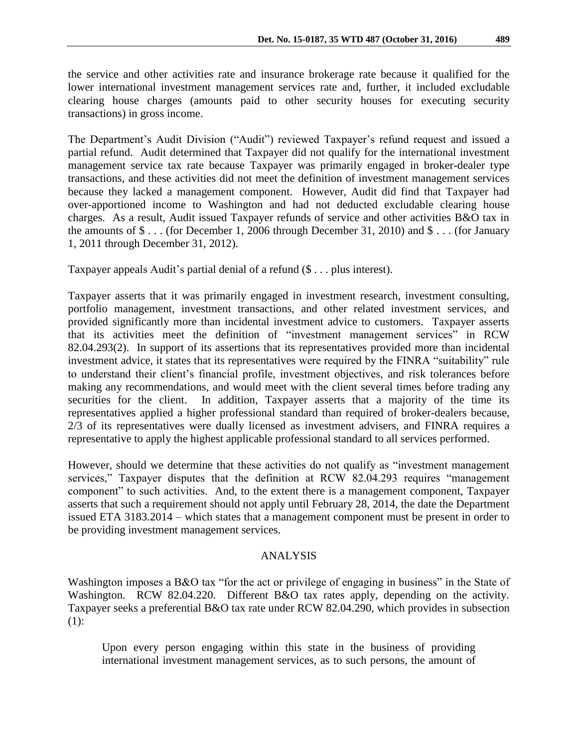the service and other activities rate and insurance brokerage rate because it qualified for the lower international investment management services rate and, further, it included excludable clearing house charges (amounts paid to other security houses for executing security transactions) in gross income.

The Department's Audit Division ("Audit") reviewed Taxpayer's refund request and issued a partial refund. Audit determined that Taxpayer did not qualify for the international investment management service tax rate because Taxpayer was primarily engaged in broker-dealer type transactions, and these activities did not meet the definition of investment management services because they lacked a management component. However, Audit did find that Taxpayer had over-apportioned income to Washington and had not deducted excludable clearing house charges. As a result, Audit issued Taxpayer refunds of service and other activities B&O tax in the amounts of \$ . . . (for December 1, 2006 through December 31, 2010) and \$ . . . (for January 1, 2011 through December 31, 2012).

Taxpayer appeals Audit's partial denial of a refund (\$ . . . plus interest).

Taxpayer asserts that it was primarily engaged in investment research, investment consulting, portfolio management, investment transactions, and other related investment services, and provided significantly more than incidental investment advice to customers. Taxpayer asserts that its activities meet the definition of "investment management services" in RCW 82.04.293(2). In support of its assertions that its representatives provided more than incidental investment advice, it states that its representatives were required by the FINRA "suitability" rule to understand their client's financial profile, investment objectives, and risk tolerances before making any recommendations, and would meet with the client several times before trading any securities for the client. In addition, Taxpayer asserts that a majority of the time its representatives applied a higher professional standard than required of broker-dealers because, 2/3 of its representatives were dually licensed as investment advisers, and FINRA requires a representative to apply the highest applicable professional standard to all services performed.

However, should we determine that these activities do not qualify as "investment management services," Taxpayer disputes that the definition at RCW 82.04.293 requires "management" component" to such activities. And, to the extent there is a management component, Taxpayer asserts that such a requirement should not apply until February 28, 2014, the date the Department issued ETA 3183.2014 – which states that a management component must be present in order to be providing investment management services.

## ANALYSIS

Washington imposes a B&O tax "for the act or privilege of engaging in business" in the State of Washington. RCW 82.04.220. Different B&O tax rates apply, depending on the activity. Taxpayer seeks a preferential B&O tax rate under RCW 82.04.290, which provides in subsection (1):

Upon every person engaging within this state in the business of providing international investment management services, as to such persons, the amount of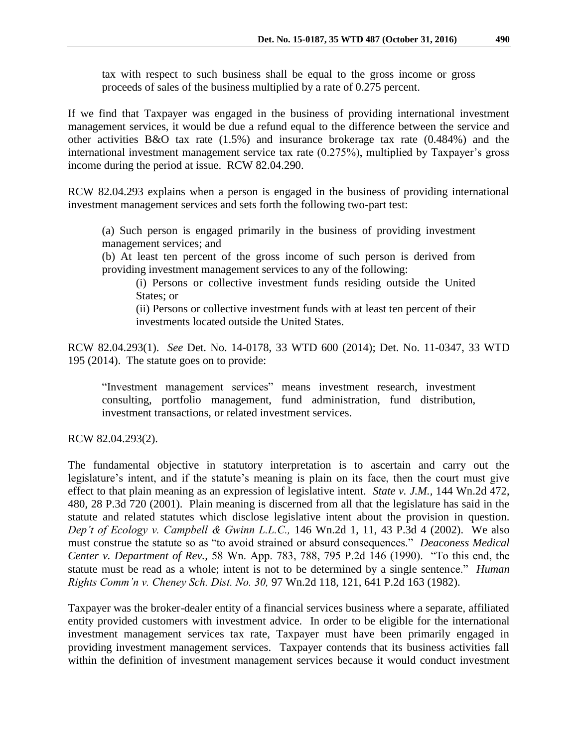tax with respect to such business shall be equal to the gross income or gross proceeds of sales of the business multiplied by a rate of 0.275 percent.

If we find that Taxpayer was engaged in the business of providing international investment management services, it would be due a refund equal to the difference between the service and other activities B&O tax rate (1.5%) and insurance brokerage tax rate (0.484%) and the international investment management service tax rate (0.275%), multiplied by Taxpayer's gross income during the period at issue. RCW 82.04.290.

RCW 82.04.293 explains when a person is engaged in the business of providing international investment management services and sets forth the following two-part test:

(a) Such person is engaged primarily in the business of providing investment management services; and

(b) At least ten percent of the gross income of such person is derived from providing investment management services to any of the following:

(i) Persons or collective investment funds residing outside the United States; or

(ii) Persons or collective investment funds with at least ten percent of their investments located outside the United States.

RCW 82.04.293(1). *See* Det. No. 14-0178, 33 WTD 600 (2014); Det. No. 11-0347, 33 WTD 195 (2014). The statute goes on to provide:

"Investment management services" means investment research, investment consulting, portfolio management, fund administration, fund distribution, investment transactions, or related investment services.

RCW 82.04.293(2).

The fundamental objective in statutory interpretation is to ascertain and carry out the legislature's intent, and if the statute's meaning is plain on its face, then the court must give effect to that plain meaning as an expression of legislative intent. *State v. J.M.,* 144 Wn.2d 472, 480, 28 P.3d 720 (2001). Plain meaning is discerned from all that the legislature has said in the statute and related statutes which disclose legislative intent about the provision in question. *Dep't of Ecology v. Campbell & Gwinn L.L.C.,* 146 Wn.2d 1, 11, 43 P.3d 4 (2002). We also must construe the statute so as "to avoid strained or absurd consequences." *Deaconess Medical Center v. Department of Rev.,* 58 Wn. App. 783, 788, 795 P.2d 146 (1990). "To this end, the statute must be read as a whole; intent is not to be determined by a single sentence." *Human Rights Comm'n v. Cheney Sch. Dist. No. 30,* 97 Wn.2d 118, 121, 641 P.2d 163 (1982).

Taxpayer was the broker-dealer entity of a financial services business where a separate, affiliated entity provided customers with investment advice. In order to be eligible for the international investment management services tax rate, Taxpayer must have been primarily engaged in providing investment management services. Taxpayer contends that its business activities fall within the definition of investment management services because it would conduct investment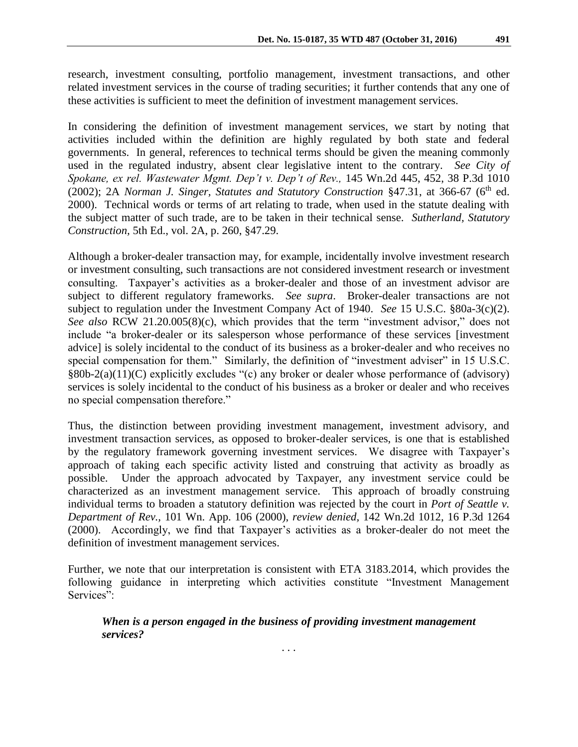research, investment consulting, portfolio management, investment transactions, and other related investment services in the course of trading securities; it further contends that any one of these activities is sufficient to meet the definition of investment management services.

In considering the definition of investment management services, we start by noting that activities included within the definition are highly regulated by both state and federal governments. In general, references to technical terms should be given the meaning commonly used in the regulated industry, absent clear legislative intent to the contrary. *See City of Spokane, ex rel. Wastewater Mgmt. Dep't v. Dep't of Rev.,* 145 Wn.2d 445, 452, 38 P.3d 1010 (2002); 2A *Norman J. Singer, Statutes and Statutory Construction* §47.31, at 366-67 (6<sup>th</sup> ed. 2000). Technical words or terms of art relating to trade, when used in the statute dealing with the subject matter of such trade, are to be taken in their technical sense. *Sutherland, Statutory Construction,* 5th Ed., vol. 2A, p. 260, §47.29.

Although a broker-dealer transaction may, for example, incidentally involve investment research or investment consulting, such transactions are not considered investment research or investment consulting. Taxpayer's activities as a broker-dealer and those of an investment advisor are subject to different regulatory frameworks. *See supra*. Broker-dealer transactions are not subject to regulation under the Investment Company Act of 1940. *See* 15 U.S.C. §80a-3(c)(2). *See also* RCW 21.20.005(8)(c), which provides that the term "investment advisor," does not include "a broker-dealer or its salesperson whose performance of these services [investment advice] is solely incidental to the conduct of its business as a broker-dealer and who receives no special compensation for them." Similarly, the definition of "investment adviser" in 15 U.S.C. §80b-2(a)(11)(C) explicitly excludes "(c) any broker or dealer whose performance of (advisory) services is solely incidental to the conduct of his business as a broker or dealer and who receives no special compensation therefore."

Thus, the distinction between providing investment management, investment advisory, and investment transaction services, as opposed to broker-dealer services, is one that is established by the regulatory framework governing investment services. We disagree with Taxpayer's approach of taking each specific activity listed and construing that activity as broadly as possible. Under the approach advocated by Taxpayer, any investment service could be characterized as an investment management service. This approach of broadly construing individual terms to broaden a statutory definition was rejected by the court in *Port of Seattle v. Department of Rev.,* 101 Wn. App. 106 (2000), *review denied,* 142 Wn.2d 1012, 16 P.3d 1264 (2000). Accordingly, we find that Taxpayer's activities as a broker-dealer do not meet the definition of investment management services.

Further, we note that our interpretation is consistent with ETA 3183.2014, which provides the following guidance in interpreting which activities constitute "Investment Management Services":

### *When is a person engaged in the business of providing investment management services?*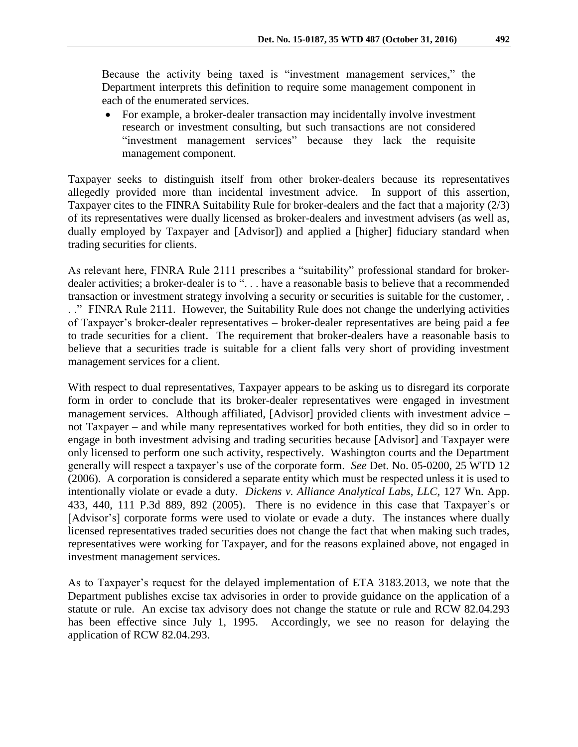Because the activity being taxed is "investment management services," the Department interprets this definition to require some management component in each of the enumerated services.

 For example, a broker-dealer transaction may incidentally involve investment research or investment consulting, but such transactions are not considered "investment management services" because they lack the requisite management component.

Taxpayer seeks to distinguish itself from other broker-dealers because its representatives allegedly provided more than incidental investment advice. In support of this assertion, Taxpayer cites to the FINRA Suitability Rule for broker-dealers and the fact that a majority (2/3) of its representatives were dually licensed as broker-dealers and investment advisers (as well as, dually employed by Taxpayer and [Advisor]) and applied a [higher] fiduciary standard when trading securities for clients.

As relevant here, FINRA Rule 2111 prescribes a "suitability" professional standard for brokerdealer activities; a broker-dealer is to ". . . have a reasonable basis to believe that a recommended transaction or investment strategy involving a security or securities is suitable for the customer, . . ." FINRA Rule 2111. However, the Suitability Rule does not change the underlying activities of Taxpayer's broker-dealer representatives – broker-dealer representatives are being paid a fee to trade securities for a client. The requirement that broker-dealers have a reasonable basis to believe that a securities trade is suitable for a client falls very short of providing investment management services for a client.

With respect to dual representatives, Taxpayer appears to be asking us to disregard its corporate form in order to conclude that its broker-dealer representatives were engaged in investment management services. Although affiliated, [Advisor] provided clients with investment advice – not Taxpayer – and while many representatives worked for both entities, they did so in order to engage in both investment advising and trading securities because [Advisor] and Taxpayer were only licensed to perform one such activity, respectively. Washington courts and the Department generally will respect a taxpayer's use of the corporate form. *See* Det. No. 05-0200, 25 WTD 12 (2006). A corporation is considered a separate entity which must be respected unless it is used to intentionally violate or evade a duty. *Dickens v. Alliance Analytical Labs, LLC,* 127 Wn. App. 433, 440, 111 P.3d 889, 892 (2005). There is no evidence in this case that Taxpayer's or [Advisor's] corporate forms were used to violate or evade a duty. The instances where dually licensed representatives traded securities does not change the fact that when making such trades, representatives were working for Taxpayer, and for the reasons explained above, not engaged in investment management services.

As to Taxpayer's request for the delayed implementation of ETA 3183.2013, we note that the Department publishes excise tax advisories in order to provide guidance on the application of a statute or rule. An excise tax advisory does not change the statute or rule and RCW 82.04.293 has been effective since July 1, 1995. Accordingly, we see no reason for delaying the application of RCW 82.04.293.